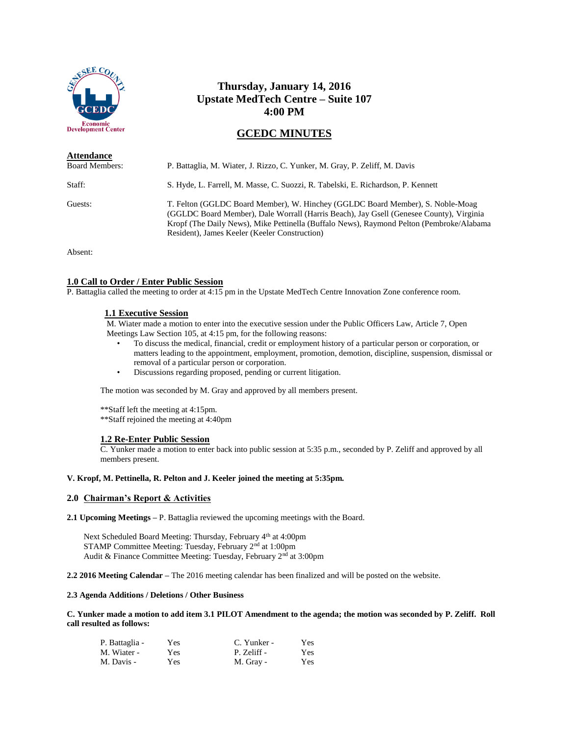

# **Thursday, January 14, 2016 Upstate MedTech Centre – Suite 107 4:00 PM**

# **GCEDC MINUTES**

| <b>Attendance</b>     |                                                                                                                                                                                                                                                                                                                        |
|-----------------------|------------------------------------------------------------------------------------------------------------------------------------------------------------------------------------------------------------------------------------------------------------------------------------------------------------------------|
| <b>Board Members:</b> | P. Battaglia, M. Wiater, J. Rizzo, C. Yunker, M. Gray, P. Zeliff, M. Davis                                                                                                                                                                                                                                             |
| Staff:                | S. Hyde, L. Farrell, M. Masse, C. Suozzi, R. Tabelski, E. Richardson, P. Kennett                                                                                                                                                                                                                                       |
| Guests:               | T. Felton (GGLDC Board Member), W. Hinchey (GGLDC Board Member), S. Noble-Moag<br>(GGLDC Board Member), Dale Worrall (Harris Beach), Jay Gsell (Genesee County), Virginia<br>Kropf (The Daily News), Mike Pettinella (Buffalo News), Raymond Pelton (Pembroke/Alabama<br>Resident), James Keeler (Keeler Construction) |

Absent:

# **1.0 Call to Order / Enter Public Session**

P. Battaglia called the meeting to order at 4:15 pm in the Upstate MedTech Centre Innovation Zone conference room.

## **1.1 Executive Session**

M. Wiater made a motion to enter into the executive session under the Public Officers Law, Article 7, Open Meetings Law Section 105, at 4:15 pm, for the following reasons:

- To discuss the medical, financial, credit or employment history of a particular person or corporation, or matters leading to the appointment, employment, promotion, demotion, discipline, suspension, dismissal or removal of a particular person or corporation.
- Discussions regarding proposed, pending or current litigation.

The motion was seconded by M. Gray and approved by all members present.

\*\*Staff left the meeting at 4:15pm. \*\*Staff rejoined the meeting at 4:40pm

## **1.2 Re-Enter Public Session**

C. Yunker made a motion to enter back into public session at 5:35 p.m., seconded by P. Zeliff and approved by all members present.

## **V. Kropf, M. Pettinella, R. Pelton and J. Keeler joined the meeting at 5:35pm.**

### **2.0 Chairman's Report & Activities**

**2.1 Upcoming Meetings –** P. Battaglia reviewed the upcoming meetings with the Board.

Next Scheduled Board Meeting: Thursday, February 4<sup>th</sup> at 4:00pm STAMP Committee Meeting: Tuesday, February 2<sup>nd</sup> at 1:00pm Audit & Finance Committee Meeting: Tuesday, February 2<sup>nd</sup> at 3:00pm

**2.2 2016 Meeting Calendar –** The 2016 meeting calendar has been finalized and will be posted on the website.

# **2.3 Agenda Additions / Deletions / Other Business**

**C. Yunker made a motion to add item 3.1 PILOT Amendment to the agenda; the motion was seconded by P. Zeliff. Roll call resulted as follows:**

| P. Battaglia - | Yes | C. Yunker - | Yes |
|----------------|-----|-------------|-----|
| M. Wiater -    | Yes | P. Zeliff - | Yes |
| M. Davis -     | Yes | M. Gray -   | Yes |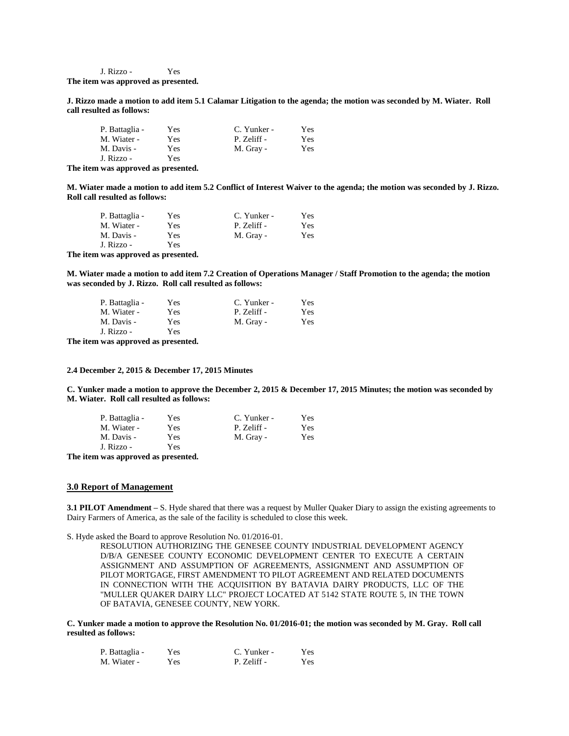J. Rizzo - Yes **The item was approved as presented.**

**J. Rizzo made a motion to add item 5.1 Calamar Litigation to the agenda; the motion was seconded by M. Wiater. Roll call resulted as follows:**

| P. Battaglia - | Yes | C. Yunker - | Yes |
|----------------|-----|-------------|-----|
| M. Wiater -    | Yes | P. Zeliff - | Yes |
| M. Davis -     | Yes | M. Gray -   | Yes |
| J. Rizzo -     | Yes |             |     |

**The item was approved as presented.**

**M. Wiater made a motion to add item 5.2 Conflict of Interest Waiver to the agenda; the motion was seconded by J. Rizzo. Roll call resulted as follows:**

| P. Battaglia - | Yes | C. Yunker - | Yes |
|----------------|-----|-------------|-----|
| M. Wiater -    | Yes | P. Zeliff - | Yes |
| M. Davis -     | Yes | M. Gray -   | Yes |
| J. Rizzo -     | Yes |             |     |

**The item was approved as presented.**

**M. Wiater made a motion to add item 7.2 Creation of Operations Manager / Staff Promotion to the agenda; the motion was seconded by J. Rizzo. Roll call resulted as follows:**

| P. Battaglia - | Yes | C. Yunker - | Yes. |
|----------------|-----|-------------|------|
| M. Wiater -    | Yes | P. Zeliff - | Yes  |
| M. Davis -     | Yes | M. Gray -   | Yes  |
| J. Rizzo -     | Yes |             |      |

**The item was approved as presented.**

#### **2.4 December 2, 2015 & December 17, 2015 Minutes**

**C. Yunker made a motion to approve the December 2, 2015 & December 17, 2015 Minutes; the motion was seconded by M. Wiater. Roll call resulted as follows:**

| P. Battaglia - | Yes | C. Yunker - | Yes |
|----------------|-----|-------------|-----|
| M. Wiater -    | Yes | P. Zeliff - | Yes |
| M. Davis -     | Yes | M. Gray -   | Yes |
| J. Rizzo -     | Yes |             |     |

**The item was approved as presented.**

#### **3.0 Report of Management**

**3.1 PILOT Amendment –** S. Hyde shared that there was a request by Muller Quaker Diary to assign the existing agreements to Dairy Farmers of America, as the sale of the facility is scheduled to close this week.

S. Hyde asked the Board to approve Resolution No. 01/2016-01.

RESOLUTION AUTHORIZING THE GENESEE COUNTY INDUSTRIAL DEVELOPMENT AGENCY D/B/A GENESEE COUNTY ECONOMIC DEVELOPMENT CENTER TO EXECUTE A CERTAIN ASSIGNMENT AND ASSUMPTION OF AGREEMENTS, ASSIGNMENT AND ASSUMPTION OF PILOT MORTGAGE, FIRST AMENDMENT TO PILOT AGREEMENT AND RELATED DOCUMENTS IN CONNECTION WITH THE ACQUISITION BY BATAVIA DAIRY PRODUCTS, LLC OF THE "MULLER QUAKER DAIRY LLC" PROJECT LOCATED AT 5142 STATE ROUTE 5, IN THE TOWN OF BATAVIA, GENESEE COUNTY, NEW YORK.

**C. Yunker made a motion to approve the Resolution No. 01/2016-01; the motion was seconded by M. Gray. Roll call resulted as follows:**

| P. Battaglia - | Yes | C. Yunker - | Yes |
|----------------|-----|-------------|-----|
| M. Wiater -    | Yes | P. Zeliff - | Yes |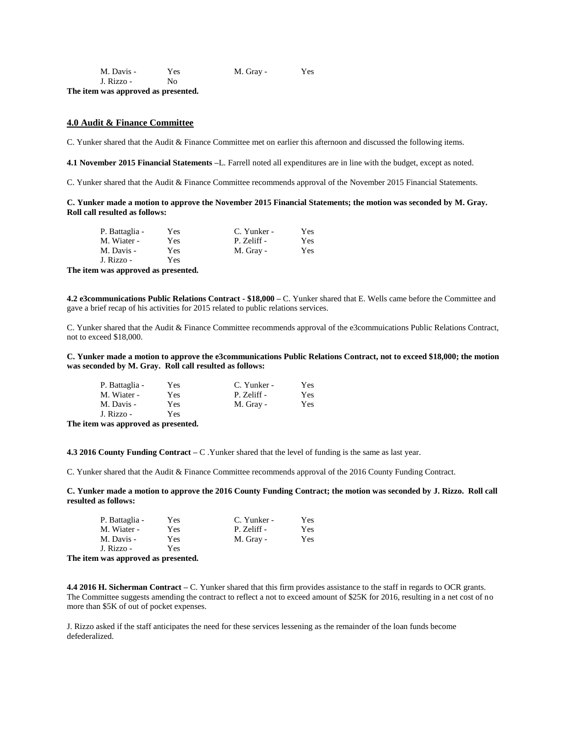| M. Davis - | Yes | M. Gray - | Yes |
|------------|-----|-----------|-----|
| J. Rizzo - | No. |           |     |

**The item was approved as presented.**

# **4.0 Audit & Finance Committee**

C. Yunker shared that the Audit & Finance Committee met on earlier this afternoon and discussed the following items.

**4.1 November 2015 Financial Statements –**L. Farrell noted all expenditures are in line with the budget, except as noted.

C. Yunker shared that the Audit & Finance Committee recommends approval of the November 2015 Financial Statements.

## **C. Yunker made a motion to approve the November 2015 Financial Statements; the motion was seconded by M. Gray. Roll call resulted as follows:**

| P. Battaglia - | Yes | C. Yunker - | Yes |
|----------------|-----|-------------|-----|
| M. Wiater -    | Yes | P. Zeliff - | Yes |
| M. Davis -     | Yes | M. Gray -   | Yes |
| J. Rizzo -     | Yes |             |     |

**The item was approved as presented.**

**4.2 e3communications Public Relations Contract - \$18,000 –** C. Yunker shared that E. Wells came before the Committee and gave a brief recap of his activities for 2015 related to public relations services.

C. Yunker shared that the Audit & Finance Committee recommends approval of the e3commuications Public Relations Contract, not to exceed \$18,000.

**C. Yunker made a motion to approve the e3communications Public Relations Contract, not to exceed \$18,000; the motion was seconded by M. Gray. Roll call resulted as follows:**

| P. Battaglia - | Yes | C. Yunker - | Yes |
|----------------|-----|-------------|-----|
| M. Wiater -    | Yes | P. Zeliff - | Yes |
| M. Davis -     | Yes | M. Gray -   | Yes |
| J. Rizzo -     | Yes |             |     |

**The item was approved as presented.**

**4.3 2016 County Funding Contract –** C .Yunker shared that the level of funding is the same as last year.

C. Yunker shared that the Audit & Finance Committee recommends approval of the 2016 County Funding Contract.

**C. Yunker made a motion to approve the 2016 County Funding Contract; the motion was seconded by J. Rizzo. Roll call resulted as follows:**

| P. Battaglia - | Yes | C. Yunker - | Yes |
|----------------|-----|-------------|-----|
| M. Wiater -    | Yes | P. Zeliff - | Yes |
| M. Davis -     | Yes | M. Gray -   | Yes |
| J. Rizzo -     | Yes |             |     |

**The item was approved as presented.**

**4.4 2016 H. Sicherman Contract –** C. Yunker shared that this firm provides assistance to the staff in regards to OCR grants. The Committee suggests amending the contract to reflect a not to exceed amount of \$25K for 2016, resulting in a net cost of no more than \$5K of out of pocket expenses.

J. Rizzo asked if the staff anticipates the need for these services lessening as the remainder of the loan funds become defederalized.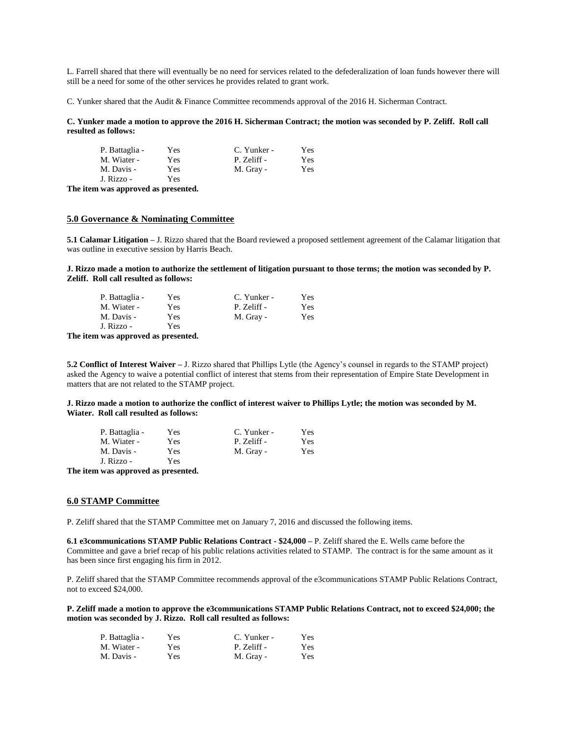L. Farrell shared that there will eventually be no need for services related to the defederalization of loan funds however there will still be a need for some of the other services he provides related to grant work.

C. Yunker shared that the Audit & Finance Committee recommends approval of the 2016 H. Sicherman Contract.

**C. Yunker made a motion to approve the 2016 H. Sicherman Contract; the motion was seconded by P. Zeliff. Roll call resulted as follows:**

| Yes | C. Yunker - | Yes |
|-----|-------------|-----|
| Yes | P. Zeliff - | Yes |
| Yes | M. Gray -   | Yes |
| Yes |             |     |
|     |             |     |

**The item was approved as presented.**

# **5.0 Governance & Nominating Committee**

**5.1 Calamar Litigation –** J. Rizzo shared that the Board reviewed a proposed settlement agreement of the Calamar litigation that was outline in executive session by Harris Beach.

**J. Rizzo made a motion to authorize the settlement of litigation pursuant to those terms; the motion was seconded by P. Zeliff. Roll call resulted as follows:**

| P. Battaglia - | Yes | C. Yunker - | Yes |
|----------------|-----|-------------|-----|
| M. Wiater -    | Yes | P. Zeliff - | Yes |
| M. Davis -     | Yes | M. Gray -   | Yes |
| J. Rizzo -     | Yes |             |     |

**The item was approved as presented.**

**5.2 Conflict of Interest Waiver –** J. Rizzo shared that Phillips Lytle (the Agency's counsel in regards to the STAMP project) asked the Agency to waive a potential conflict of interest that stems from their representation of Empire State Development in matters that are not related to the STAMP project.

**J. Rizzo made a motion to authorize the conflict of interest waiver to Phillips Lytle; the motion was seconded by M. Wiater. Roll call resulted as follows:**

| P. Battaglia - | Yes | C. Yunker - | Yes |
|----------------|-----|-------------|-----|
| M. Wiater -    | Yes | P. Zeliff - | Yes |
| M. Davis -     | Yes | M. Gray -   | Yes |
| J. Rizzo -     | Yes |             |     |

**The item was approved as presented.**

## **6.0 STAMP Committee**

P. Zeliff shared that the STAMP Committee met on January 7, 2016 and discussed the following items.

**6.1 e3communications STAMP Public Relations Contract - \$24,000 –** P. Zeliff shared the E. Wells came before the Committee and gave a brief recap of his public relations activities related to STAMP. The contract is for the same amount as it has been since first engaging his firm in 2012.

P. Zeliff shared that the STAMP Committee recommends approval of the e3communications STAMP Public Relations Contract, not to exceed \$24,000.

**P. Zeliff made a motion to approve the e3communications STAMP Public Relations Contract, not to exceed \$24,000; the motion was seconded by J. Rizzo. Roll call resulted as follows:**

| P. Battaglia - | Yes | C. Yunker - | Yes  |
|----------------|-----|-------------|------|
| M. Wiater -    | Yes | P. Zeliff - | Yes. |
| M. Davis -     | Yes | M. Gray -   | Yes  |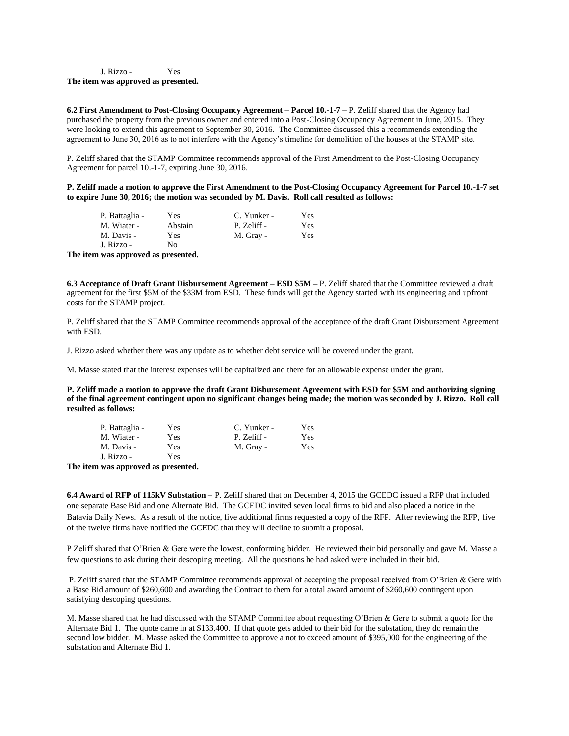## J. Rizzo - Yes **The item was approved as presented.**

**6.2 First Amendment to Post-Closing Occupancy Agreement – Parcel 10.-1-7 –** P. Zeliff shared that the Agency had purchased the property from the previous owner and entered into a Post-Closing Occupancy Agreement in June, 2015. They were looking to extend this agreement to September 30, 2016. The Committee discussed this a recommends extending the agreement to June 30, 2016 as to not interfere with the Agency's timeline for demolition of the houses at the STAMP site.

P. Zeliff shared that the STAMP Committee recommends approval of the First Amendment to the Post-Closing Occupancy Agreement for parcel 10.-1-7, expiring June 30, 2016.

**P. Zeliff made a motion to approve the First Amendment to the Post-Closing Occupancy Agreement for Parcel 10.-1-7 set to expire June 30, 2016; the motion was seconded by M. Davis. Roll call resulted as follows:**

|      | P. Battaglia - | Yes     | C. Yunker - | Yes. |
|------|----------------|---------|-------------|------|
|      | M. Wiater -    | Abstain | P. Zeliff - | Yes  |
|      | M. Davis -     | Yes     | M. Gray -   | Yes  |
|      | J. Rizzo -     | No.     |             |      |
| ma a |                |         |             |      |

**The item was approved as presented.**

**6.3 Acceptance of Draft Grant Disbursement Agreement – ESD \$5M –** P. Zeliff shared that the Committee reviewed a draft agreement for the first \$5M of the \$33M from ESD. These funds will get the Agency started with its engineering and upfront costs for the STAMP project.

P. Zeliff shared that the STAMP Committee recommends approval of the acceptance of the draft Grant Disbursement Agreement with ESD.

J. Rizzo asked whether there was any update as to whether debt service will be covered under the grant.

M. Masse stated that the interest expenses will be capitalized and there for an allowable expense under the grant.

**P. Zeliff made a motion to approve the draft Grant Disbursement Agreement with ESD for \$5M and authorizing signing of the final agreement contingent upon no significant changes being made; the motion was seconded by J. Rizzo. Roll call resulted as follows:**

| P. Battaglia - | Yes | C. Yunker - | Yes |
|----------------|-----|-------------|-----|
| M. Wiater -    | Yes | P. Zeliff - | Yes |
| M. Davis -     | Yes | M. Gray -   | Yes |
| J. Rizzo -     | Yes |             |     |

**The item was approved as presented.**

**6.4 Award of RFP of 115kV Substation –** P. Zeliff shared that on December 4, 2015 the GCEDC issued a RFP that included one separate Base Bid and one Alternate Bid. The GCEDC invited seven local firms to bid and also placed a notice in the Batavia Daily News. As a result of the notice, five additional firms requested a copy of the RFP. After reviewing the RFP, five of the twelve firms have notified the GCEDC that they will decline to submit a proposal.

P Zeliff shared that O'Brien & Gere were the lowest, conforming bidder. He reviewed their bid personally and gave M. Masse a few questions to ask during their descoping meeting. All the questions he had asked were included in their bid.

P. Zeliff shared that the STAMP Committee recommends approval of accepting the proposal received from O'Brien & Gere with a Base Bid amount of \$260,600 and awarding the Contract to them for a total award amount of \$260,600 contingent upon satisfying descoping questions.

M. Masse shared that he had discussed with the STAMP Committee about requesting O'Brien & Gere to submit a quote for the Alternate Bid 1. The quote came in at \$133,400. If that quote gets added to their bid for the substation, they do remain the second low bidder. M. Masse asked the Committee to approve a not to exceed amount of \$395,000 for the engineering of the substation and Alternate Bid 1.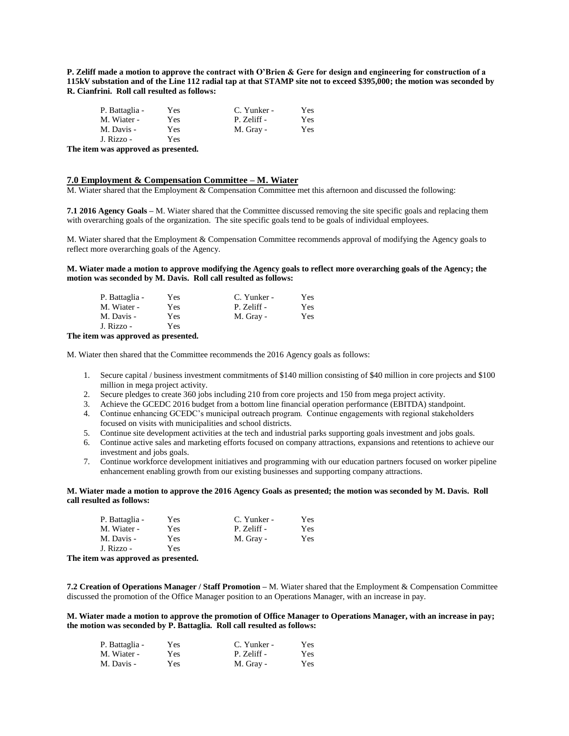**P. Zeliff made a motion to approve the contract with O'Brien & Gere for design and engineering for construction of a 115kV substation and of the Line 112 radial tap at that STAMP site not to exceed \$395,000; the motion was seconded by R. Cianfrini. Roll call resulted as follows:**

| P. Battaglia - | Yes | C. Yunker - | Yes |
|----------------|-----|-------------|-----|
| M. Wiater -    | Yes | P. Zeliff - | Yes |
| M. Davis -     | Yes | M. Gray -   | Yes |
| J. Rizzo -     | Yes |             |     |

**The item was approved as presented.**

# **7.0 Employment & Compensation Committee – M. Wiater**

M. Wiater shared that the Employment & Compensation Committee met this afternoon and discussed the following:

**7.1 2016 Agency Goals –** M. Wiater shared that the Committee discussed removing the site specific goals and replacing them with overarching goals of the organization. The site specific goals tend to be goals of individual employees.

M. Wiater shared that the Employment & Compensation Committee recommends approval of modifying the Agency goals to reflect more overarching goals of the Agency.

**M. Wiater made a motion to approve modifying the Agency goals to reflect more overarching goals of the Agency; the motion was seconded by M. Davis. Roll call resulted as follows:**

| P. Battaglia - | Yes | C. Yunker - | Yes |
|----------------|-----|-------------|-----|
| M. Wiater -    | Yes | P. Zeliff - | Yes |
| M. Davis -     | Yes | M. Gray -   | Yes |
| J. Rizzo -     | Yes |             |     |

**The item was approved as presented.**

M. Wiater then shared that the Committee recommends the 2016 Agency goals as follows:

- 1. Secure capital / business investment commitments of \$140 million consisting of \$40 million in core projects and \$100 million in mega project activity.
- 2. Secure pledges to create 360 jobs including 210 from core projects and 150 from mega project activity.
- 3. Achieve the GCEDC 2016 budget from a bottom line financial operation performance (EBITDA) standpoint.
- 4. Continue enhancing GCEDC's municipal outreach program. Continue engagements with regional stakeholders focused on visits with municipalities and school districts.
- 5. Continue site development activities at the tech and industrial parks supporting goals investment and jobs goals.
- 6. Continue active sales and marketing efforts focused on company attractions, expansions and retentions to achieve our investment and jobs goals.
- 7. Continue workforce development initiatives and programming with our education partners focused on worker pipeline enhancement enabling growth from our existing businesses and supporting company attractions.

**M. Wiater made a motion to approve the 2016 Agency Goals as presented; the motion was seconded by M. Davis. Roll call resulted as follows:**

| P. Battaglia - | Yes | C. Yunker - | Yes |
|----------------|-----|-------------|-----|
| M. Wiater -    | Yes | P. Zeliff - | Yes |
| M. Davis -     | Yes | M. Gray -   | Yes |
| J. Rizzo -     | Yes |             |     |

**The item was approved as presented.**

**7.2 Creation of Operations Manager / Staff Promotion –** M. Wiater shared that the Employment & Compensation Committee discussed the promotion of the Office Manager position to an Operations Manager, with an increase in pay.

**M. Wiater made a motion to approve the promotion of Office Manager to Operations Manager, with an increase in pay; the motion was seconded by P. Battaglia. Roll call resulted as follows:**

| P. Battaglia - | Yes  | C. Yunker - | Yes  |
|----------------|------|-------------|------|
| M. Wiater -    | Yes  | P. Zeliff - | Yes. |
| M. Davis -     | Yes. | M. Gray -   | Yes  |